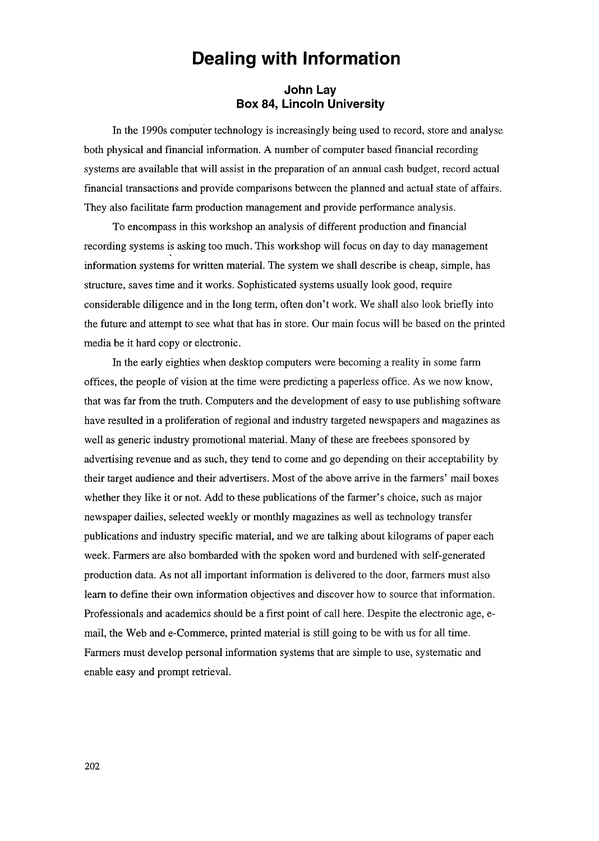# **Dealing with Information**

# **John Lay Box 84, Lincoln University**

**In** the 1990s computer technology is increasingly being used to record, store and analyse both physical and financial information. A number of computer based financial recording systems are available that will assist in the preparation of an annual cash budget, record actual financial transactions and provide comparisons between the planned and actual state of affairs. They also facilitate farm production management and provide performance analysis.

To encompass in this workshop an analysis of different production and financial recording systems is asking too much. This workshop will focus on day to day management information systems for written material. The system we shall describe is cheap, simple, has structure, saves time and it works. Sophisticated systems usually look good, require considerable diligence and in the long term, often don't work. We shall also look briefly into the future and attempt to see what that has in store. Our main focus will be based on the printed media be it hard copy or electronic.

**In** the early eighties when desktop computers were becoming a reality in some farm offices, the people of vision at the time were predicting a paperless office. As we now know, that was far from the truth. Computers and the development of easy to use publishing software have resulted in a proliferation of regional and industry targeted newspapers and magazines as well as generic industry promotional material. Many of these are freebees sponsored by advertising revenue and as such, they tend to come and go depending on their acceptability by their target audience and their advertisers. Most of the above arrive in the farmers' mail boxes whether they like it or not. Add to these publications of the farmer's choice, such as major newspaper dailies, selected weekly or monthly magazines as well as technology transfer publications and industry specific material, and we are talking about kilograms of paper each week. Farmers are also bombarded with the spoken word and burdened with self-generated production data. As not all important information is delivered to the door, farmers must also learn to define their own information objectives and discover how to source that information. Professionals and academics should be a first point of call here. Despite the electronic age, email, the Web and e-Commerce, printed material is still going to be with us for all time. Farmers must develop personal information systems that are simple to use, systematic and enable easy and prompt retrieval.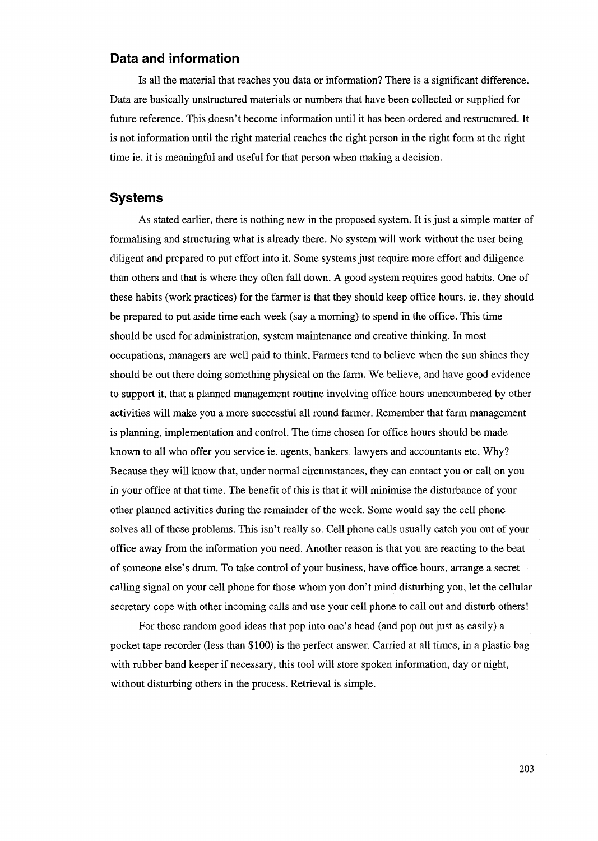# **Data and information**

Is all the material that reaches you data or information? There is a significant difference. Data are basically unstructured materials or numbers that have been collected or supplied for future reference. This doesn't become information until it has been ordered and restructured. It is not information until the right material reaches the right person in the right form at the right time ie. it is meaningful and useful for that person when making a decision.

## **Systems**

As stated earlier, there is nothing new in the proposed system. It is just a simple matter of formalising and structuring what is already there. No system will work without the user being diligent and prepared to put effort into it. Some systems just require more effort and diligence than others and that is where they often fall down. A good system requires good habits. One of these habits (work practices) for the farmer is that they should keep office hours. ie. they should be prepared to put aside time each week (say a morning) to spend in the office. This time should be used for administration, system maintenance and creative thinking. In most occupations, managers are well paid to think. Farmers tend to believe when the sun shines they should be out there doing something physical on the farm. We believe, and have good evidence to support it, that a planned management routine involving office hours unencumbered by other activities will make you a more successful all round farmer. Remember that farm management is planning, implementation and control. The time chosen for office hours should be made known to all who offer you service ie. agents, bankers- lawyers and accountants etc. Why? Because they will know that, under normal circumstances, they can contact you or call on you in your office at that time. The benefit of this is that it will minimise the disturbance of your other planned activities during the remainder of the week. Some would say the cell phone solves all of these problems. This isn't really so. Cell phone calls usually catch you out of your office away from the information you need. Another reason is that you are reacting to the beat of someone else's drum. To take control of your business, have office hours, arrange a secret calling signal on your cell phone for those whom you don't mind disturbing you, let the cellular secretary cope with other incoming calls and use your cell phone to call out and disturb others!

For those random good ideas that pop into one's head (and pop out just as easily) a pocket tape recorder (less than \$100) is the perfect answer. Carried at all times, in a plastic bag with rubber band keeper if necessary, this tool will store spoken information, day or night, without disturbing others in the process. Retrieval is simple.

203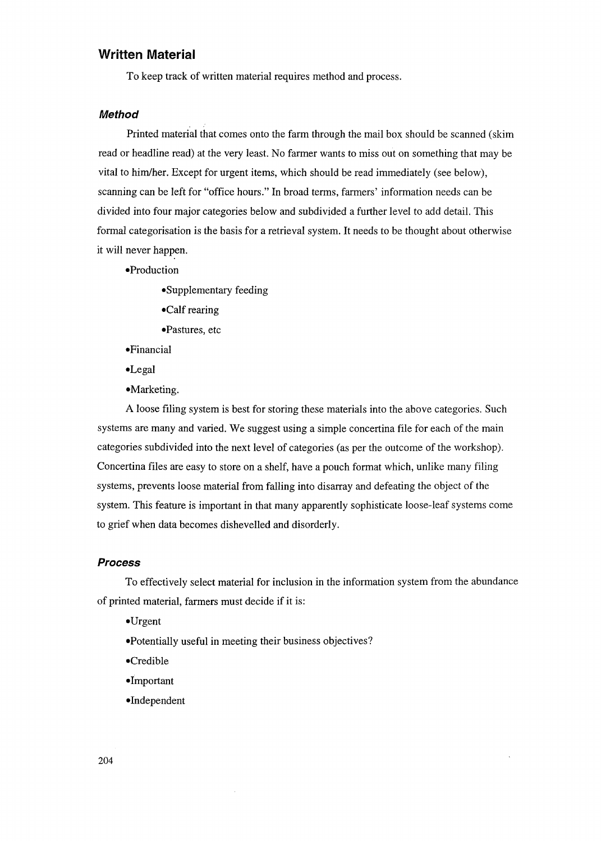# **Written Material**

To keep track of written material requires method and process.

#### **Method**

Printed material that comes onto the farm through the mail box should be scanned (skim read or headline read) at the very least. No farmer wants to miss out on something that may be vital to him/her. Except for urgent items, which should be read immediately (see below), scanning can be left for "office hours." In broad terms, farmers' information needs can be divided into four major categories below and subdivided a further level to add detail. This formal categorisation is the basis for a retrieval system. It needs to be thought about otherwise it will never happen.

- -Production
	- -Supplementary feeding
	- -Calf rearing
	- -Pastures, etc
- -Financial
- -Legal
- -Marketing.

A loose filing system is best for storing these materials into the above categories. Such systems are many and varied. We suggest using a simple concertina file for each of the main categories subdivided into the next level of categories (as per the outcome of the workshop). Concertina files are easy to store on a shelf, have a pouch format which, unlike many filing systems, prevents loose material from falling into disarray and defeating the object of the system. This feature is important in that many apparently sophisticate loose-leaf systems come to grief when data becomes dishevelled and disorderly.

#### **Process**

To effectively select material for inclusion in the information system from the abundance of printed material, farmers must decide if it is:

- -Urgent
- -Potentially useful in meeting their business objectives?

 $\cdot$ 

- -Credible
- -Important
- -Independent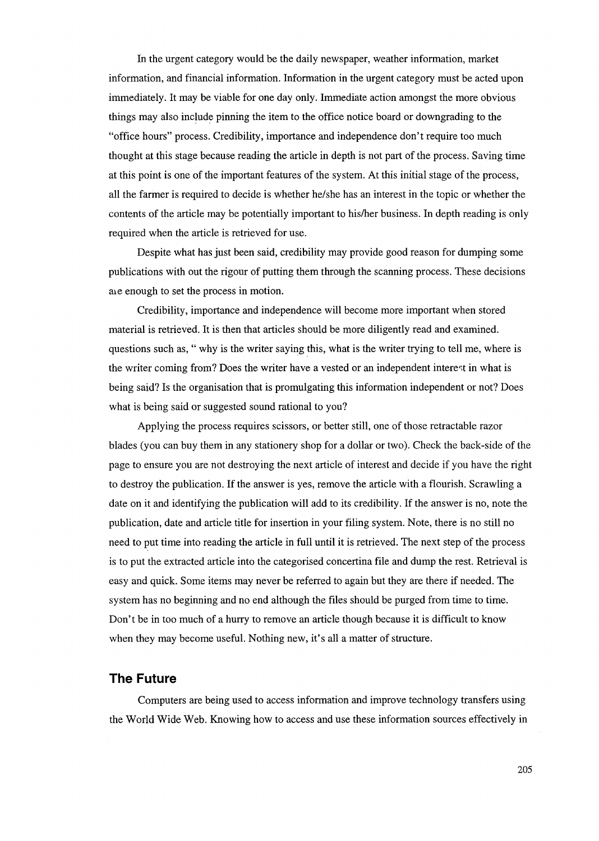In the urgent category would be the daily newspaper, weather information, market information, and financial information. Information in the urgent category must be acted upon immediately. It may be viable for one day only. Immediate action amongst the more obvious things may also include pinning the item to the office notice board or downgrading to the "office hours" process. Credibility, importance and independence don't require too much thought at this stage because reading the article in depth is not part of the process. Saving time at this point is one of the important features of the system. At this initial stage of the process, all the farmer is required to decide is whether he/she has an interest in the topic or whether the contents of the article may be potentially important to hislher business. In depth reading is only required when the article is retrieved for use.

Despite what has just been said, credibility may provide good reason for dumping some publications with out the rigour of putting them through the scanning process. These decisions are enough to set the process in motion.

Credibility, importance and independence will become more important when stored material is retrieved. It is then that articles should be more diligently read and examined. questions such as, " why is the writer saying this, what is the writer trying to tell me, where is the writer coming from? Does the writer have a vested or an independent interest in what is being said? Is the organisation that is promulgating this information independent or not? Does what is being said or suggested sound rational to you?

Applying the process requires scissors, or better still, one of those retractable razor blades (you can buy them in any stationery shop for a dollar or two). Check the back-side of the page to ensure you are not destroying the next article of interest and decide if you have the right to destroy the publication. If the answer is yes, remove the article with a flourish. Scrawling a date on it and identifying the publication will add to its credibility. If the answer is no, note the publication, date and article title for insertion in your filing system. Note, there is no still no need to put time into reading the article in full until it is retrieved. The next step of the process is to put the extracted article into the categorised concertina file and dump the rest. Retrieval is easy and quick. Some items may never be referred to again but they are there if needed. The system has no beginning and no end although the files should be purged from time to time. Don't be in too much of a hurry to remove an article though because it is difficult to know when they may become useful. Nothing new, it's all a matter of structure.

## **The Future**

Computers are being used to access information and improve technology transfers using the World Wide Web. Knowing how to access and use these information sources effectively in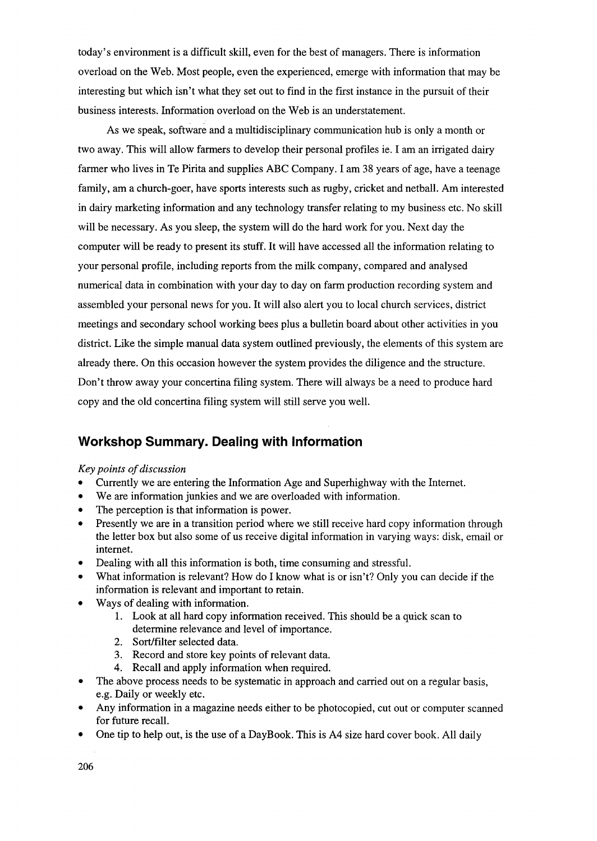today's environment is a difficult skill, even for the best of managers. There is information overload on the Web. Most people, even the experienced, emerge with information that may be interesting but which isn't what they set out to find in the first instance in the pursuit of their business interests. Information overload on the Web is an understatement.

As we speak, software and a multidisciplinary communication hub is only a month or two away. This will allow farmers to develop their personal profiles ie. I am an irrigated dairy farmer who lives in Te Pirita and supplies ABC Company. I am 38 years of age, have a teenage family, am a church-goer, have sports interests such as rugby, cricket and netball. Am interested in dairy marketing information and any technology transfer relating to my business etc. No skill will be necessary. As you sleep, the system will do the hard work for you. Next day the computer will be ready to present its stuff. It will have accessed all the information relating to your personal profile, including reports from the milk company, compared and analysed numerical data in combination with your day to day on farm production recording system and assembled your personal news for you. It will also alert you to local church services, district meetings and secondary school working bees plus a bulletin board about other activities in you district. Like the simple manual data system outlined previously, the elements of this system are already there. On this occasion however the system provides the diligence and the structure. Don't throwaway your concertina filing system. There will always be a need to produce hard copy and the old concertina filing system will still serve you well.

# **Workshop Summary. Dealing with Information**

#### *Key points of discussion*

- Currently we are entering the Information Age and Superhighway with the Internet.
- We are information junkies and we are overloaded with information.
- The perception is that information is power.
- Presently we are in a transition period where we still receive hard copy information through the letter box but also some of us receive digital information in varying ways: disk, email or internet.
- Dealing with all this information is both, time consuming and stressful.
- What information is relevant? How do I know what is or isn't? Only you can decide if the information is relevant and important to retain.
- Ways of dealing with information.
	- 1. Look at all hard copy information received. This should be a quick scan to determine relevance and level of importance.
	- 2. Sort/filter selected data.
	- 3. Record and store key points of relevant data.
	- 4. Recall and apply information when required.
- The above process needs to be systematic in approach and carried out on a regular basis, e.g. Daily or weekly etc.
- Any information in a magazine needs either to be photocopied, cut out or computer scanned for future recall.
- One tip to help out, is the use of a DayBook. This is A4 size hard cover book. All daily